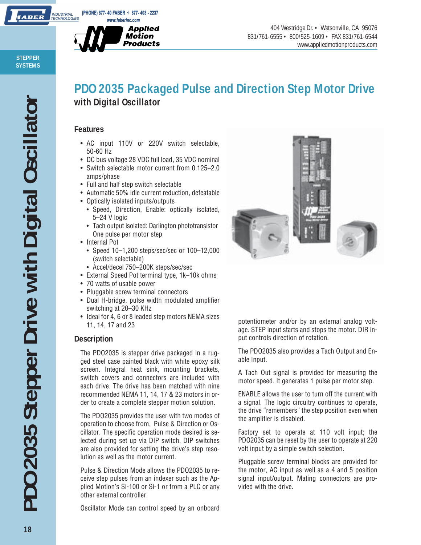

404 Westridge Dr. • Watsonville, CA 95076 831/761-6555 • 800/525-1609 • FAX 831/761-6544 www.appliedmotionproducts.com

## **PDO 2035 Packaged Pulse and Direction Step Motor Drive with Digital Oscillator**

#### **Features**

- AC input 110V or 220V switch selectable, 50-60 Hz
- DC bus voltage 28 VDC full load, 35 VDC nominal
- Switch selectable motor current from 0.125–2.0 amps/phase
- Full and half step switch selectable
- Automatic 50% idle current reduction, defeatable
- Optically isolated inputs/outputs
	- Speed, Direction, Enable: optically isolated, 5–24 V logic
	- Tach output isolated: Darlington phototransistor One pulse per motor step
- Internal Pot
	- Speed 10–1,200 steps/sec/sec or 100–12,000 (switch selectable)
	- Accel/decel 750–200K steps/sec/sec
- External Speed Pot terminal type, 1k–10k ohms
- 70 watts of usable power
- Pluggable screw terminal connectors
- Dual H-bridge, pulse width modulated amplifier switching at 20–30 KHz
- Ideal for 4, 6 or 8 leaded step motors NEMA sizes 11, 14, 17 and 23

### **Description**

The PDO2035 is stepper drive packaged in a rugged steel case painted black with white epoxy silk screen. Integral heat sink, mounting brackets, switch covers and connectors are included with each drive. The drive has been matched with nine recommended NEMA 11, 14, 17 & 23 motors in order to create a complete stepper motion solution.

The PDO2035 provides the user with two modes of operation to choose from, Pulse & Direction or Oscillator. The specific operation mode desired is selected during set up via DIP switch. DIP switches are also provided for setting the drive's step resolution as well as the motor current.

Pulse & Direction Mode allows the PDO2035 to receive step pulses from an indexer such as the Applied Motion's Si-100 or Si-1 or from a PLC or any other external controller.

Oscillator Mode can control speed by an onboard



potentiometer and/or by an external analog voltage. STEP input starts and stops the motor. DIR input controls direction of rotation.

The PDO2035 also provides a Tach Output and Enable Input.

A Tach Out signal is provided for measuring the motor speed. It generates 1 pulse per motor step.

ENABLE allows the user to turn off the current with a signal. The logic circuitry continues to operate, the drive "remembers" the step position even when the amplifier is disabled.

Factory set to operate at 110 volt input; the PDO2035 can be reset by the user to operate at 220 volt input by a simple switch selection.

Pluggable screw terminal blocks are provided for the motor, AC input as well as a 4 and 5 position signal input/output. Mating connectors are provided with the drive.

**STEPPER SYSTEMS**

**IABER**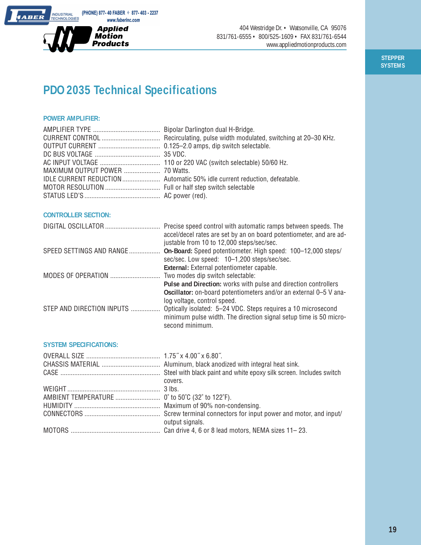

404 Westridge Dr. • Watsonville, CA 95076 831/761-6555 • 800/525-1609 • FAX 831/761-6544 www.appliedmotionproducts.com

> **STEPPER SYSTEMS**

# **PDO 2035 Technical Specifications**

#### **POWER AMPLIFIER:**

#### **CONTROLLER SECTION:**

|                           | Precise speed control with automatic ramps between speeds. The<br>accel/decel rates are set by an on board potentiometer, and are ad-<br>justable from 10 to 12,000 steps/sec/sec. |
|---------------------------|------------------------------------------------------------------------------------------------------------------------------------------------------------------------------------|
| SPEED SETTINGS AND RANGE  | On-Board: Speed potentiometer. High speed: 100-12,000 steps/                                                                                                                       |
|                           | sec/sec. Low speed: 10-1,200 steps/sec/sec.                                                                                                                                        |
|                           | External: External potentiometer capable.                                                                                                                                          |
|                           | Two modes dip switch selectable:                                                                                                                                                   |
|                           | Pulse and Direction: works with pulse and direction controllers                                                                                                                    |
|                           | Oscillator: on-board potentiometers and/or an external 0-5 V ana-                                                                                                                  |
|                           | log voltage, control speed.                                                                                                                                                        |
| STEP AND DIRECTION INPUTS | Optically isolated: 5-24 VDC. Steps requires a 10 microsecond                                                                                                                      |
|                           | minimum pulse width. The direction signal setup time is 50 micro-                                                                                                                  |
|                           | second minimum.                                                                                                                                                                    |
|                           |                                                                                                                                                                                    |

#### **SYSTEM SPECIFICATIONS:**

| covers.         |
|-----------------|
|                 |
|                 |
|                 |
|                 |
| output signals. |
|                 |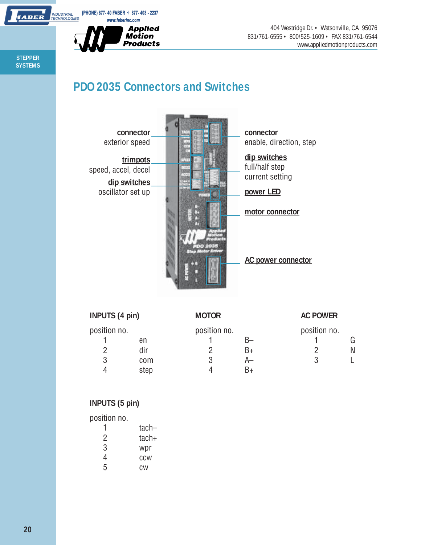

404 Westridge Dr. • Watsonville, CA 95076 831/761-6555 • 800/525-1609 • FAX 831/761-6544 www.appliedmotionproducts.com

**STEPPER SYSTEMS**

**IABER** 

# **PDO 2035 Connectors and Switches**



| <b>INPUTS (4 pin)</b> |      | <b>MOTOR</b> |    | <b>AC POWER</b> |   |
|-----------------------|------|--------------|----|-----------------|---|
| position no.          |      | position no. |    | position no.    |   |
|                       | en   |              |    |                 |   |
|                       | dir  |              | B+ |                 | N |
| 3                     | com  |              | A- | ₽               |   |
|                       | step |              | R∓ |                 |   |

### **INPUTS (5 pin)**

position no.

|   | $tach-$ |
|---|---------|
| 2 | $tach+$ |
| 3 | wpr     |
| 4 | CCW     |
| 5 | СW      |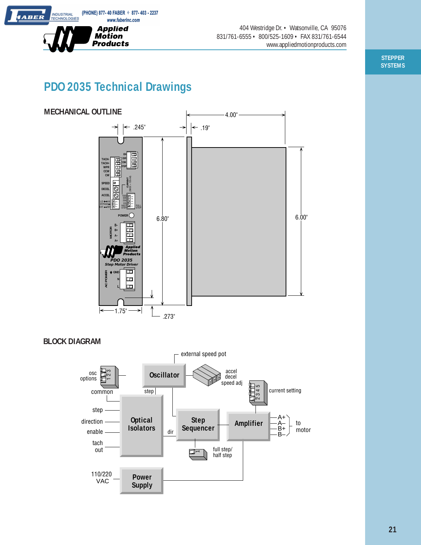(PHONE) 877-40 FABER  $\div$  877-403 - 2237 www.faberinc.com



404 Westridge Dr. • Watsonville, CA 95076 831/761-6555 • 800/525-1609 • FAX 831/761-6544 www.appliedmotionproducts.com

> **STEPPER SYSTEMS**

# **PDO 2035 Technical Drawings**



**BLOCK DIAGRAM**

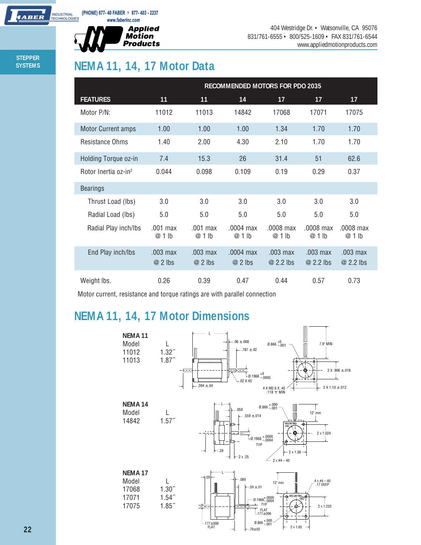

404 Westridge Dr. • Watsonville, CA 95076 831/761-6555 • 800/525-1609 • FAX 831/761-6544 www.appliedmotionproducts.com

**STEPPER SYSTEMS**

**HABER** 

## **NEMA 11, 14, 17 Motor Data**

|                                  | RECOMMENDED MOTORS FOR PDO 2035 |                        |                         |                         |                         |                       |
|----------------------------------|---------------------------------|------------------------|-------------------------|-------------------------|-------------------------|-----------------------|
| <b>FEATURES</b>                  | 11                              | 11                     | 14                      | 17                      | 17                      | 17                    |
| Motor P/N:                       | 11012                           | 11013                  | 14842                   | 17068                   | 17071                   | 17075                 |
| <b>Motor Current amps</b>        | 1.00                            | 1.00                   | 1.00                    | 1.34                    | 1.70                    | 1.70                  |
| Resistance Ohms                  | 1.40                            | 2.00                   | 4.30                    | 2.10                    | 1.70                    | 1.70                  |
| Holding Torque oz-in             | 7.4                             | 15.3                   | 26                      | 31.4                    | 51                      | 62.6                  |
| Rotor Inertia oz-in <sup>2</sup> | 0.044                           | 0.098                  | 0.109                   | 0.19                    | 0.29                    | 0.37                  |
| <b>Bearings</b>                  |                                 |                        |                         |                         |                         |                       |
| Thrust Load (lbs)                | 3.0                             | 3.0                    | 3.0                     | 3.0                     | 3.0                     | 3.0                   |
| Radial Load (lbs)                | 5.0                             | 5.0                    | 5.0                     | 5.0                     | 5.0                     | 5.0                   |
| Radial Play inch/lbs             | .001 max<br>$@1$ lb             | $.001$ max<br>$@1$ lb  | $.0004$ max<br>$@1$ lb  | .0008 max<br>$@1$ lb    | .0008 max<br>$@1$ lb    | .0008 max<br>$@1$ lb  |
| End Play inch/lbs                | .003 max<br>$@2$ lbs            | $.003$ max<br>$@2$ lbs | $.0004$ max<br>$@2$ lbs | $.003$ max<br>@ 2.2 lbs | $.003$ max<br>@ 2.2 lbs | .003 max<br>@ 2.2 lbs |
| Weight lbs.                      | 0.26                            | 0.39                   | 0.47                    | 0.44                    | 0.57                    | 0.73                  |

Motor current, resistance and torque ratings are with parallel connection

## **NEMA 11, 14, 17 Motor Dimensions**



.177±.006 FLAT

2 X 1.65

Ø.866 +.000 –.001

.79±.02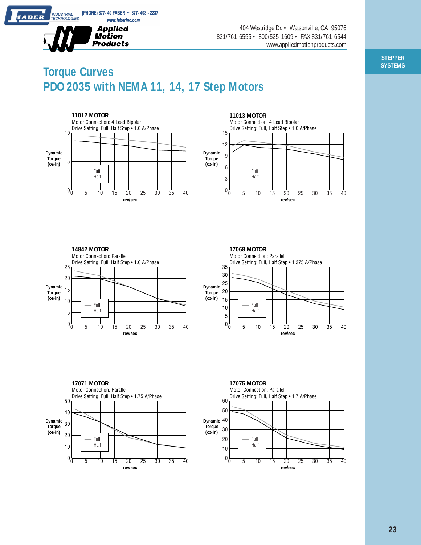

**INDUSTRIAL**<br>TECHNOLOGIES

*IABER* 

404 Westridge Dr. • Watsonville, CA 95076 831/761-6555 • 800/525-1609 • FAX 831/761-6544 www.appliedmotionproducts.com

## **Torque Curves PDO 2035 with NEMA 11, 14, 17 Step Motors**







**17071 MOTOR**





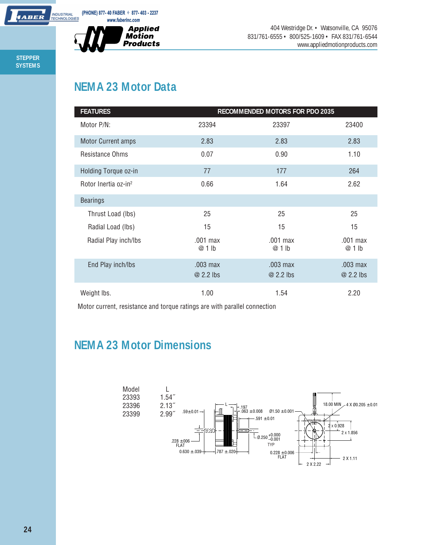

404 Westridge Dr. • Watsonville, CA 95076 831/761-6555 • 800/525-1609 • FAX 831/761-6544 www.appliedmotionproducts.com

**STEPPER SYSTEMS**

*ABER* 

# **NEMA 23 Motor Data**

| <b>FEATURES</b>                  |                       | RECOMMENDED MOTORS FOR PDO 2035 |                       |
|----------------------------------|-----------------------|---------------------------------|-----------------------|
| Motor P/N:                       | 23394                 | 23397                           | 23400                 |
| <b>Motor Current amps</b>        | 2.83                  | 2.83                            | 2.83                  |
| <b>Resistance Ohms</b>           | 0.07                  | 0.90                            | 1.10                  |
| Holding Torque oz-in             | 77                    | 177                             | 264                   |
| Rotor Inertia oz-in <sup>2</sup> | 0.66                  | 1.64                            | 2.62                  |
| <b>Bearings</b>                  |                       |                                 |                       |
| Thrust Load (lbs)                | 25                    | 25                              | 25                    |
| Radial Load (lbs)                | 15                    | 15                              | 15                    |
| Radial Play inch/lbs             | .001 max<br>@ 1 lb    | .001 max<br>@ 1 lb              | .001 max<br>@ 1 lb    |
| End Play inch/lbs                | .003 max<br>@ 2.2 lbs | .003 max<br>@ 2.2 lbs           | .003 max<br>@ 2.2 lbs |
| Weight lbs.                      | 1.00                  | 1.54                            | 2.20                  |

Motor current, resistance and torque ratings are with parallel connection

### **NEMA 23 Motor Dimensions**

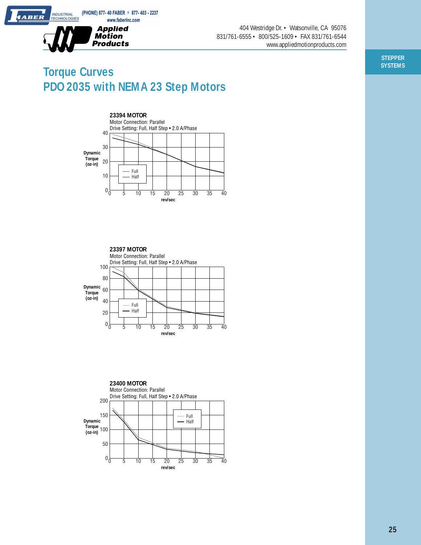

**INDUSTRIAL**<br>TECHNOLOGIES

*IABER* 

404 Westridge Dr. • Watsonville, CA 95076 831/761-6555 • 800/525-1609 • FAX 831/761-6544 www.appliedmotionproducts.com

## **Torque Curves PDO 2035 with NEMA 23 Step Motors**







**STEPPER SYSTEMS**